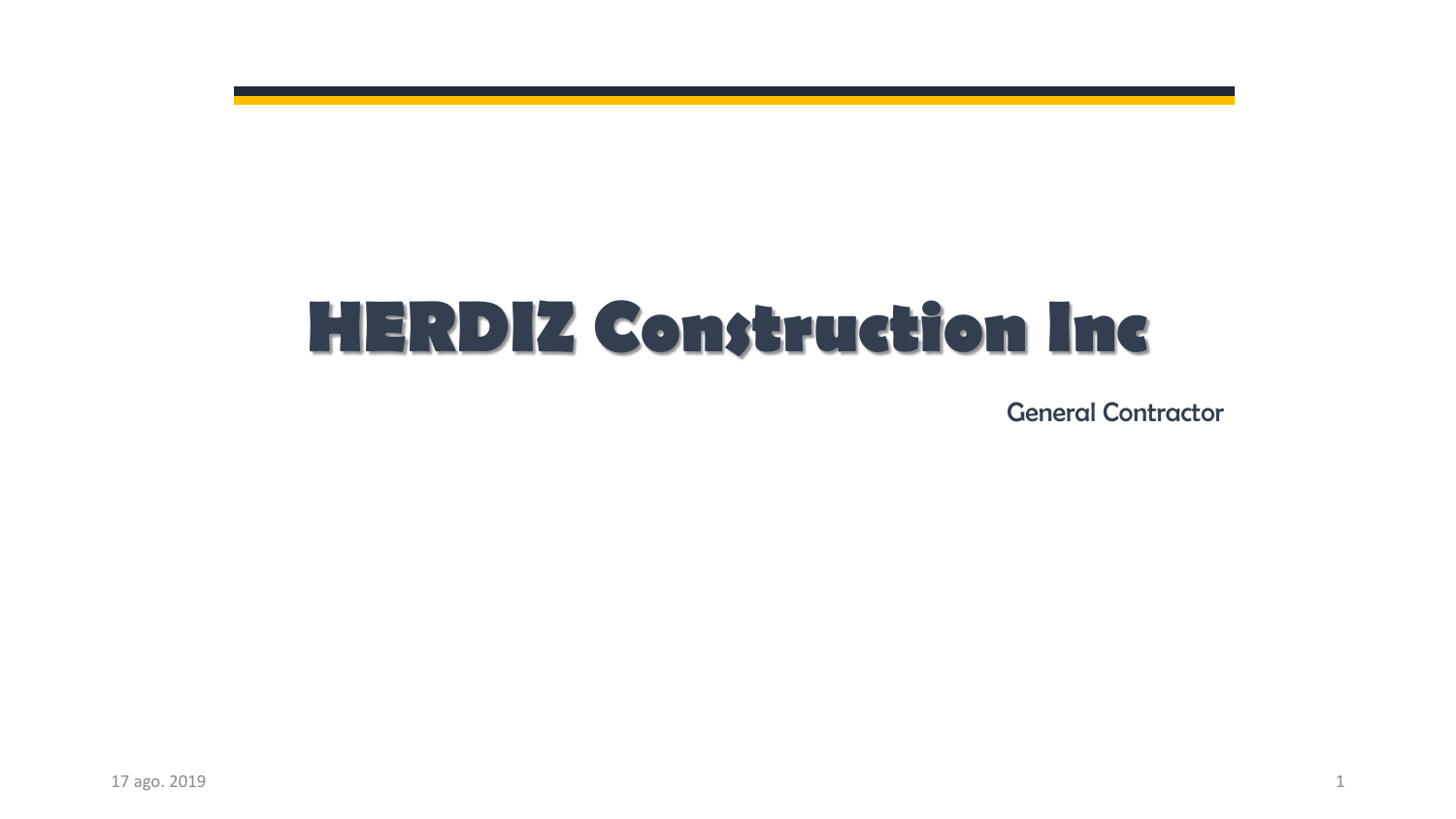# **HERDIZ Construction Inc**

General Contractor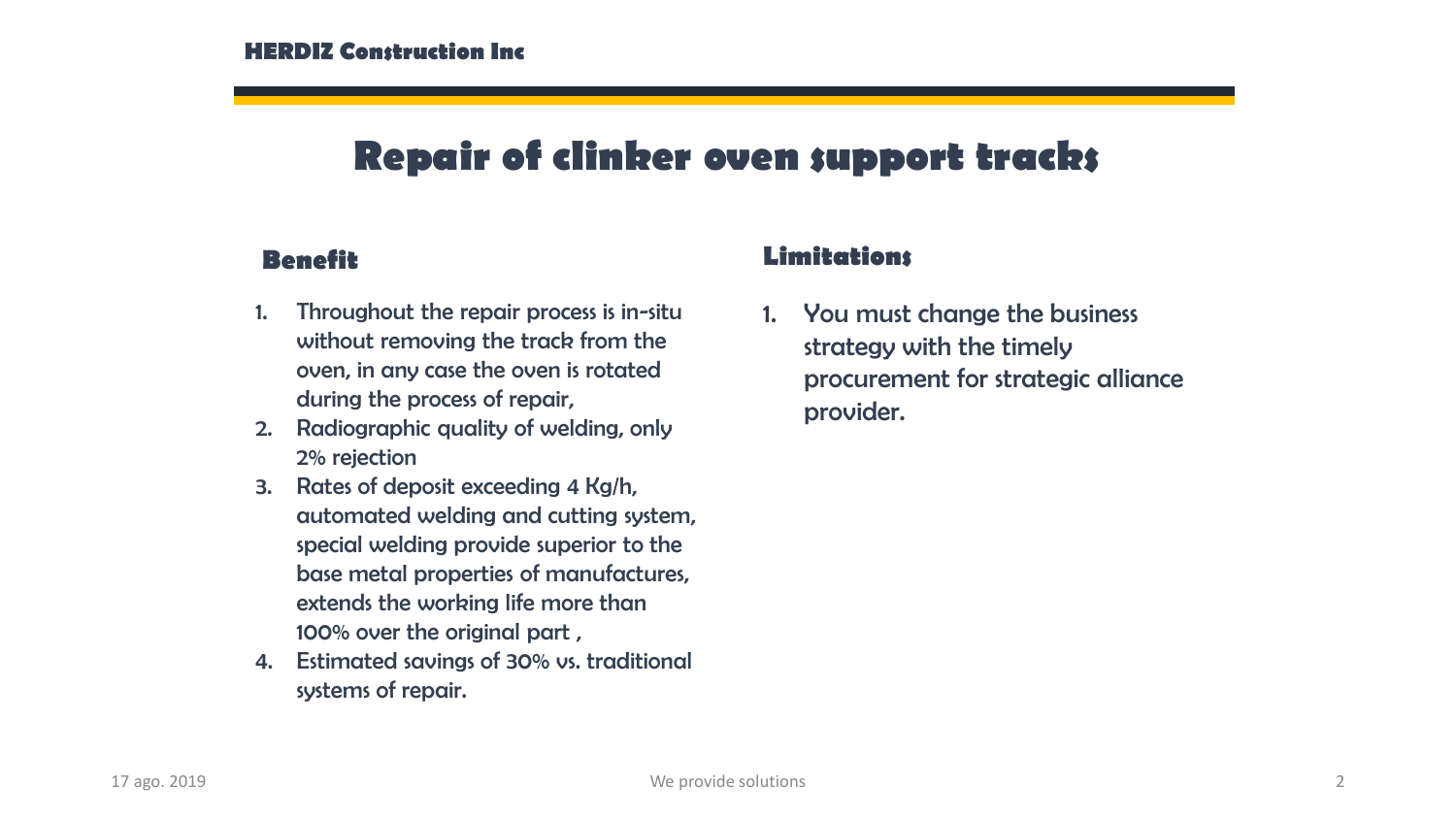## **Repair of clinker oven support tracks**

- 1. Throughout the repair process is in-situ without removing the track from the oven, in any case the oven is rotated during the process of repair,
- 2. Radiographic quality of welding, only 2% rejection
- 3. Rates of deposit exceeding 4 Kg/h, automated welding and cutting system, special welding provide superior to the base metal properties of manufactures, extends the working life more than 100% over the original part ,
- 4. Estimated savings of 30% vs. traditional systems of repair.

#### **Benefit Limitations**

1. You must change the business strategy with the timely procurement for strategic alliance provider.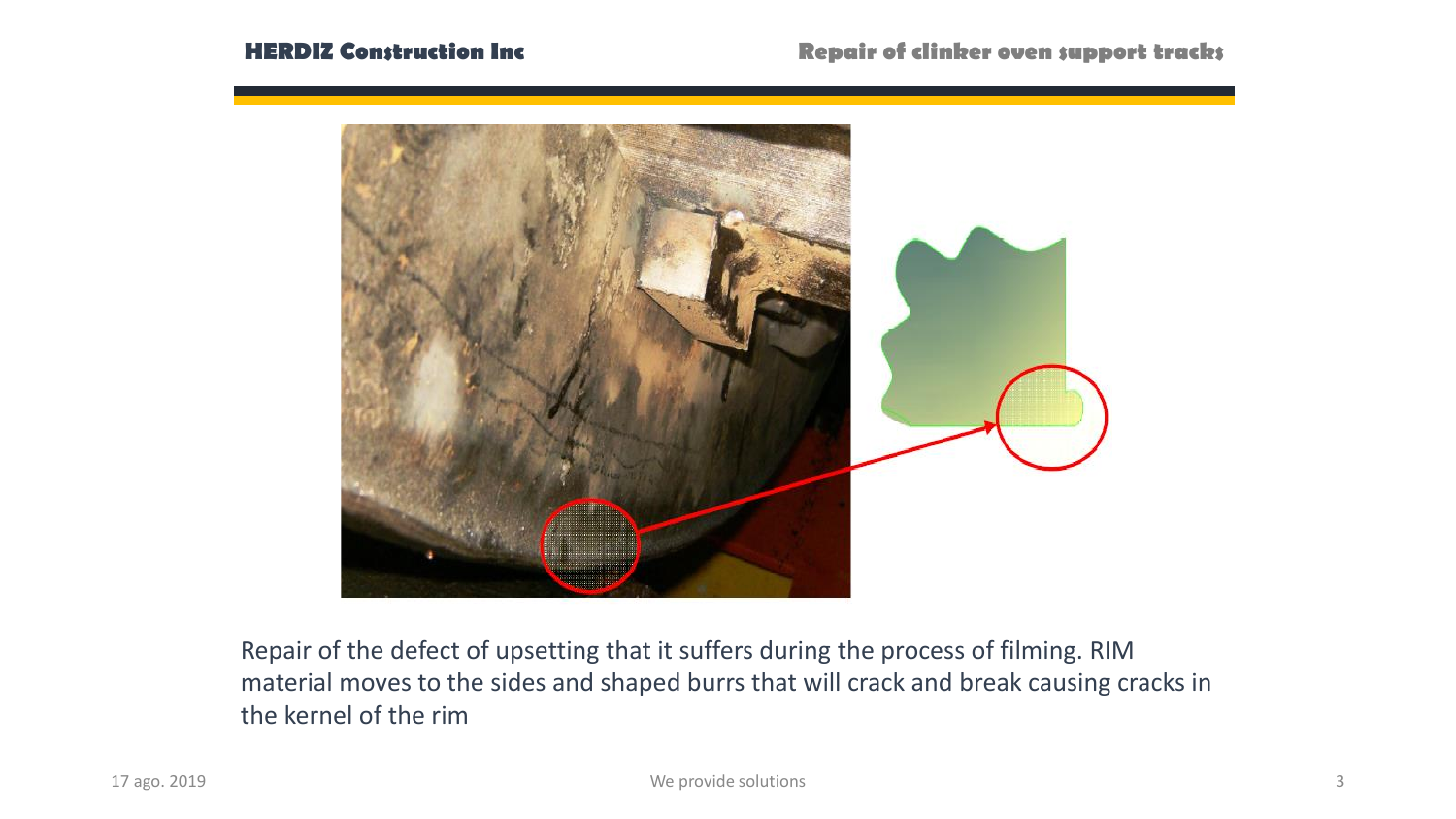

Repair of the defect of upsetting that it suffers during the process of filming. RIM material moves to the sides and shaped burrs that will crack and break causing cracks in the kernel of the rim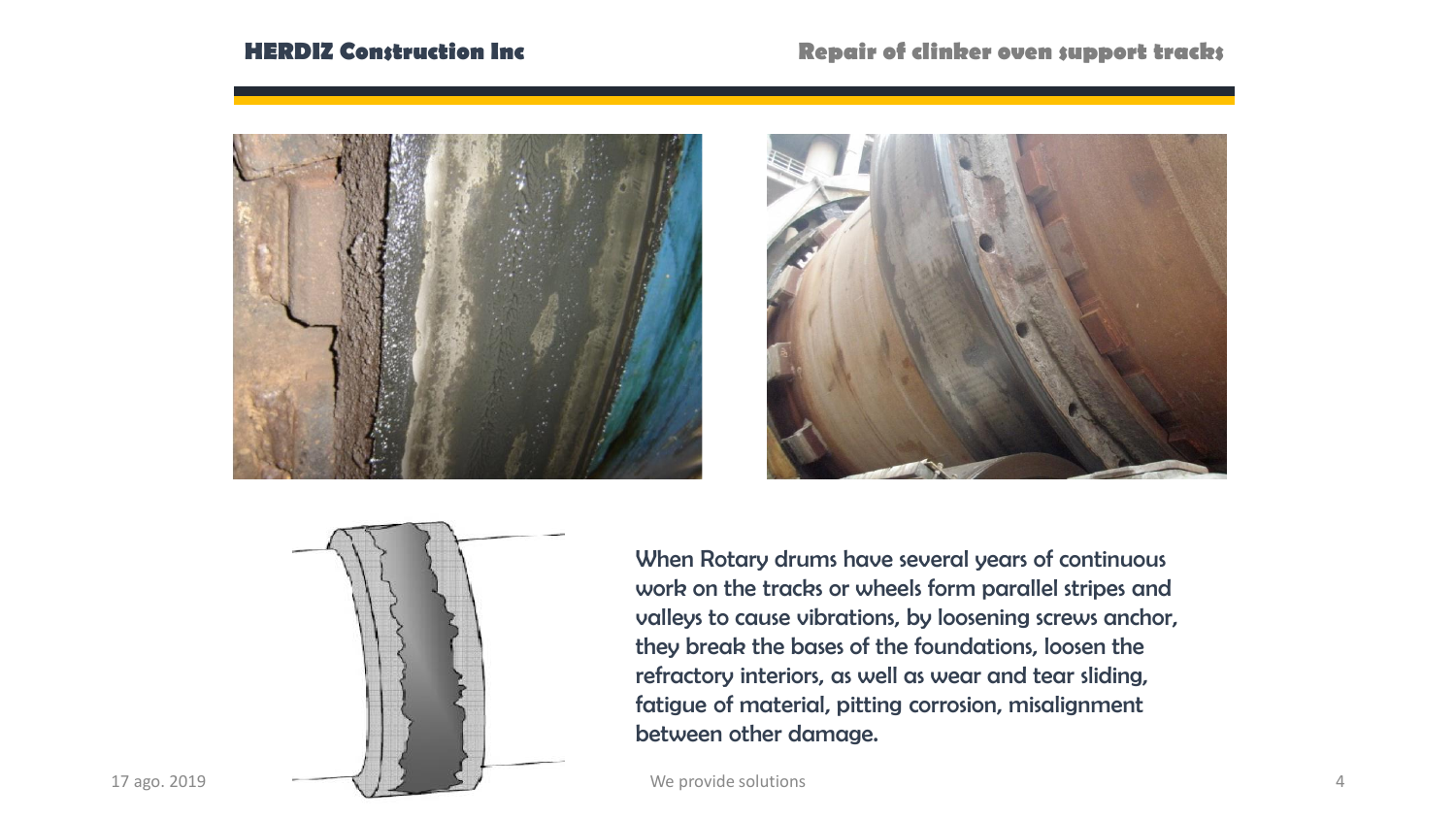#### **HERDIZ Construction Inc Repair of clinker oven support tracks**







When Rotary drums have several years of continuous work on the tracks or wheels form parallel stripes and valleys to cause vibrations, by loosening screws anchor, they break the bases of the foundations, loosen the refractory interiors, as well as wear and tear sliding, fatigue of material, pitting corrosion, misalignment between other damage.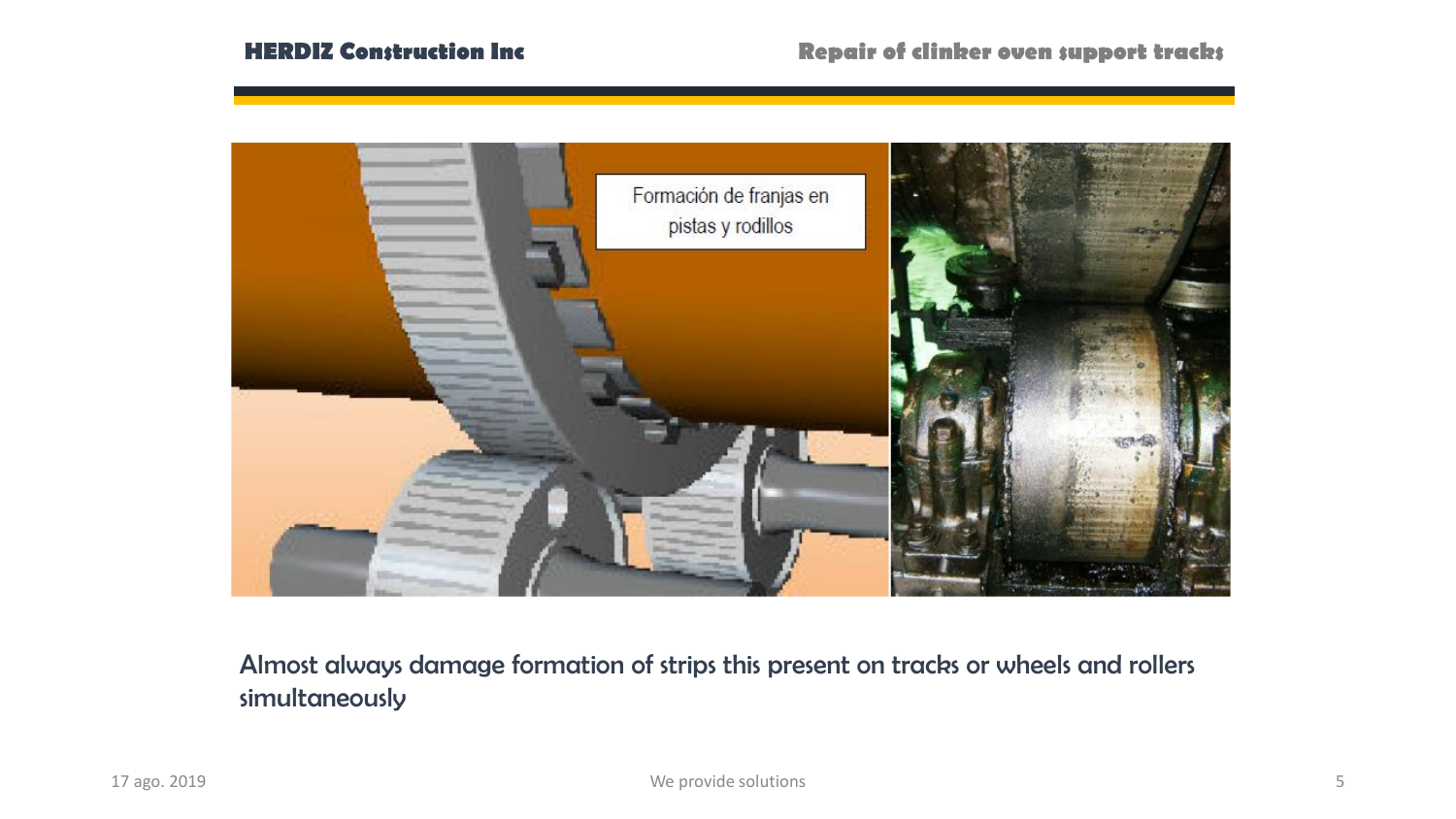

Almost always damage formation of strips this present on tracks or wheels and rollers simultaneously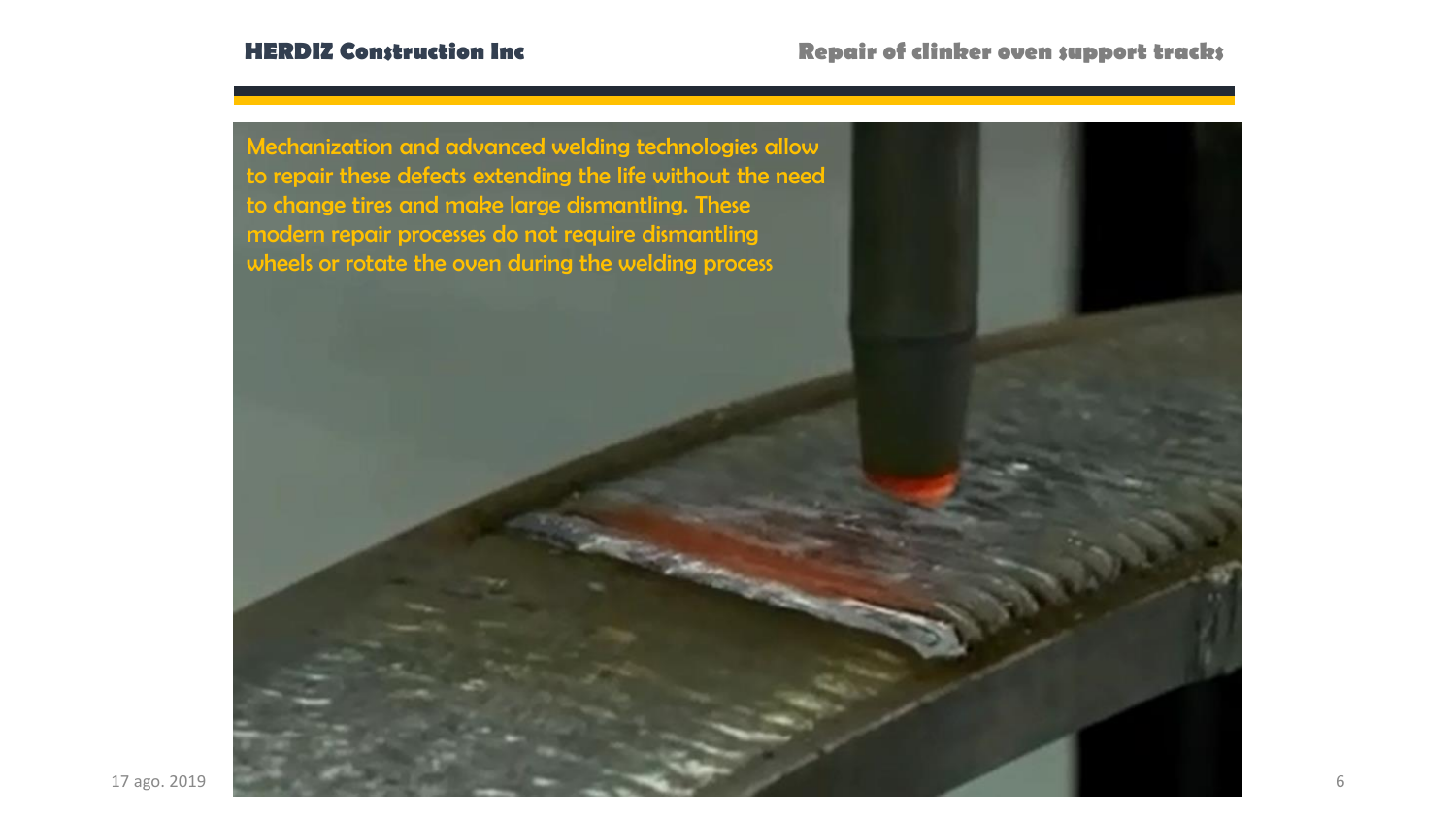![](_page_5_Picture_2.jpeg)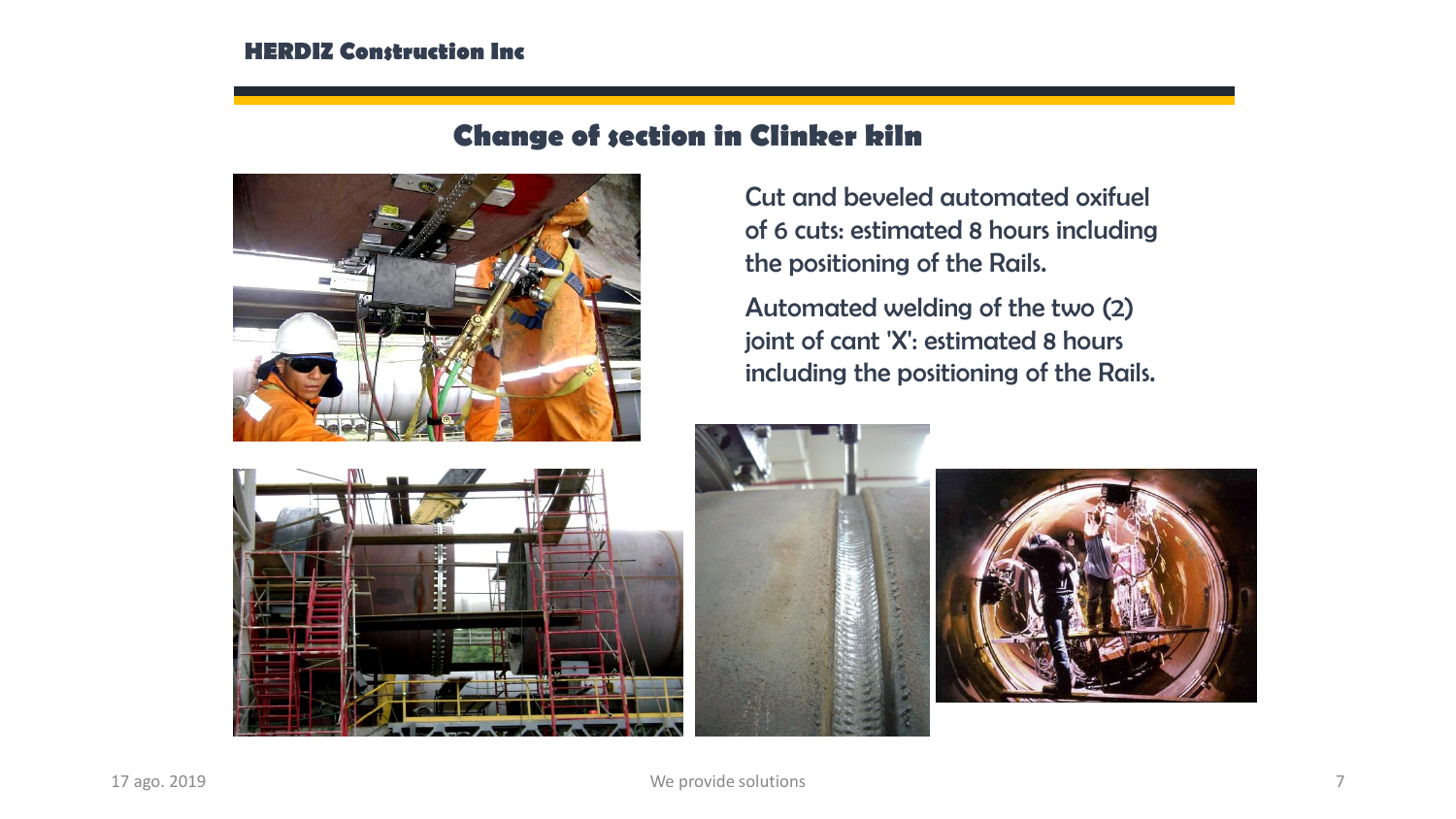#### **HERDIZ Construction Inc**

### **Change of section in Clinker kiln**

![](_page_6_Picture_2.jpeg)

Cut and beveled automated oxifuel of 6 cuts: estimated 8 hours including the positioning of the Rails.

Automated welding of the two (2) joint of cant 'X': estimated 8 hours including the positioning of the Rails.

![](_page_6_Picture_5.jpeg)

![](_page_6_Picture_6.jpeg)